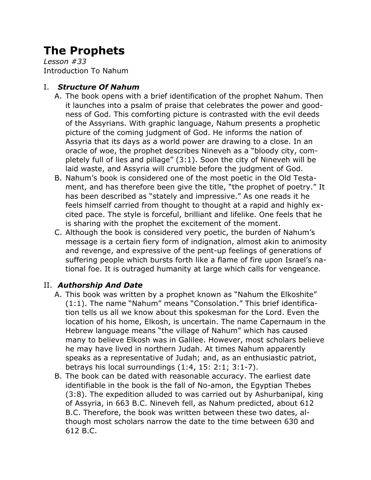# **The Prophets**

*Lesson #33* Introduction To Nahum

## I. *Structure Of Nahum*

- A. The book opens with a brief identification of the prophet Nahum. Then it launches into a psalm of praise that celebrates the power and goodness of God. This comforting picture is contrasted with the evil deeds of the Assyrians. With graphic language, Nahum presents a prophetic picture of the coming judgment of God. He informs the nation of Assyria that its days as a world power are drawing to a close. In an oracle of woe, the prophet describes Nineveh as a "bloody city, completely full of lies and pillage" (3:1). Soon the city of Nineveh will be laid waste, and Assyria will crumble before the judgment of God.
- B. Nahum's book is considered one of the most poetic in the Old Testament, and has therefore been give the title, "the prophet of poetry." It has been described as "stately and impressive." As one reads it he feels himself carried from thought to thought at a rapid and highly excited pace. The style is forceful, brilliant and lifelike. One feels that he is sharing with the prophet the excitement of the moment.
- C. Although the book is considered very poetic, the burden of Nahum's message is a certain fiery form of indignation, almost akin to animosity and revenge, and expressive of the pent-up feelings of generations of suffering people which bursts forth like a flame of fire upon Israel's national foe. It is outraged humanity at large which calls for vengeance.

# II. *Authorship And Date*

- A. This book was written by a prophet known as "Nahum the Elkoshite" (1:1). The name "Nahum" means "Consolation." This brief identification tells us all we know about this spokesman for the Lord. Even the location of his home, Elkosh, is uncertain. The name Capernaum in the Hebrew language means "the village of Nahum" which has caused many to believe Elkosh was in Galilee. However, most scholars believe he may have lived in northern Judah. At times Nahum apparently speaks as a representative of Judah; and, as an enthusiastic patriot, betrays his local surroundings (1:4, 15: 2:1; 3:1-7).
- B. The book can be dated with reasonable accuracy. The earliest date identifiable in the book is the fall of No-amon, the Egyptian Thebes (3:8). The expedition alluded to was carried out by Ashurbanipal, king of Assyria, in 663 B.C. Nineveh fell, as Nahum predicted, about 612 B.C. Therefore, the book was written between these two dates, although most scholars narrow the date to the time between 630 and 612 B.C.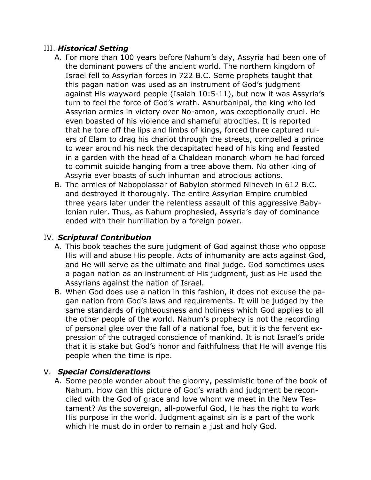#### III. *Historical Setting*

- A. For more than 100 years before Nahum's day, Assyria had been one of the dominant powers of the ancient world. The northern kingdom of Israel fell to Assyrian forces in 722 B.C. Some prophets taught that this pagan nation was used as an instrument of God's judgment against His wayward people (Isaiah 10:5-11), but now it was Assyria's turn to feel the force of God's wrath. Ashurbanipal, the king who led Assyrian armies in victory over No-amon, was exceptionally cruel. He even boasted of his violence and shameful atrocities. It is reported that he tore off the lips and limbs of kings, forced three captured rulers of Elam to drag his chariot through the streets, compelled a prince to wear around his neck the decapitated head of his king and feasted in a garden with the head of a Chaldean monarch whom he had forced to commit suicide hanging from a tree above them. No other king of Assyria ever boasts of such inhuman and atrocious actions.
- B. The armies of Nabopolassar of Babylon stormed Nineveh in 612 B.C. and destroyed it thoroughly. The entire Assyrian Empire crumbled three years later under the relentless assault of this aggressive Babylonian ruler. Thus, as Nahum prophesied, Assyria's day of dominance ended with their humiliation by a foreign power.

### IV. *Scriptural Contribution*

- A. This book teaches the sure judgment of God against those who oppose His will and abuse His people. Acts of inhumanity are acts against God, and He will serve as the ultimate and final judge. God sometimes uses a pagan nation as an instrument of His judgment, just as He used the Assyrians against the nation of Israel.
- B. When God does use a nation in this fashion, it does not excuse the pagan nation from God's laws and requirements. It will be judged by the same standards of righteousness and holiness which God applies to all the other people of the world. Nahum's prophecy is not the recording of personal glee over the fall of a national foe, but it is the fervent expression of the outraged conscience of mankind. It is not Israel's pride that it is stake but God's honor and faithfulness that He will avenge His people when the time is ripe.

#### V. *Special Considerations*

A. Some people wonder about the gloomy, pessimistic tone of the book of Nahum. How can this picture of God's wrath and judgment be reconciled with the God of grace and love whom we meet in the New Testament? As the sovereign, all-powerful God, He has the right to work His purpose in the world. Judgment against sin is a part of the work which He must do in order to remain a just and holy God.